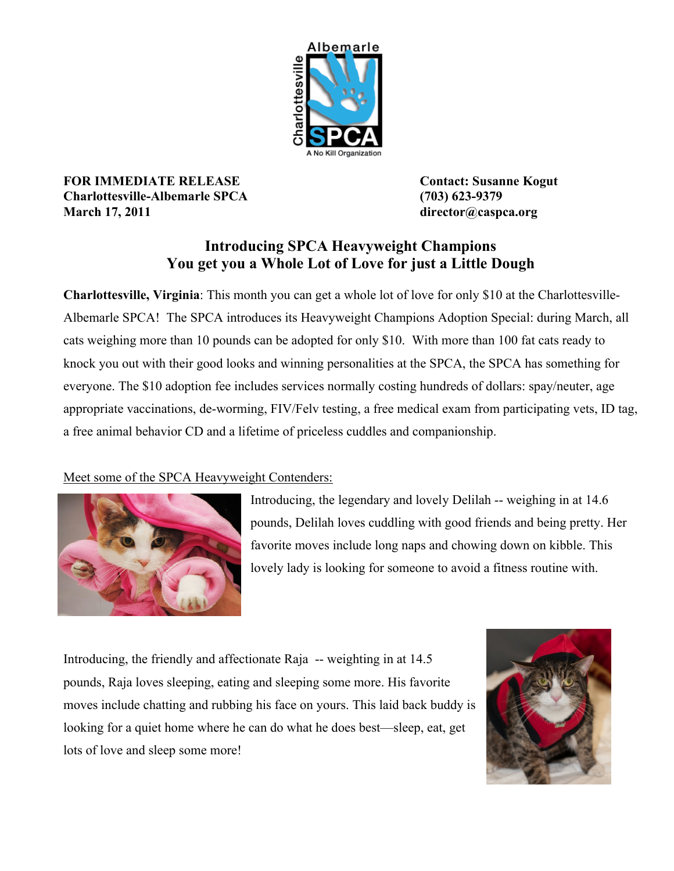

**FOR IMMEDIATE RELEASE Contact: Susanne Kogut Charlottesville-Albemarle SPCA (703) 623-9379 March 17, 2011 director@caspca.org**

## **Introducing SPCA Heavyweight Champions You get you a Whole Lot of Love for just a Little Dough**

**Charlottesville, Virginia**: This month you can get a whole lot of love for only \$10 at the Charlottesville-Albemarle SPCA! The SPCA introduces its Heavyweight Champions Adoption Special: during March, all cats weighing more than 10 pounds can be adopted for only \$10. With more than 100 fat cats ready to knock you out with their good looks and winning personalities at the SPCA, the SPCA has something for everyone. The \$10 adoption fee includes services normally costing hundreds of dollars: spay/neuter, age appropriate vaccinations, de-worming, FIV/Felv testing, a free medical exam from participating vets, ID tag, a free animal behavior CD and a lifetime of priceless cuddles and companionship.

## Meet some of the SPCA Heavyweight Contenders:



Introducing, the legendary and lovely Delilah -- weighing in at 14.6 pounds, Delilah loves cuddling with good friends and being pretty. Her favorite moves include long naps and chowing down on kibble. This lovely lady is looking for someone to avoid a fitness routine with.

Introducing, the friendly and affectionate Raja -- weighting in at 14.5 pounds, Raja loves sleeping, eating and sleeping some more. His favorite moves include chatting and rubbing his face on yours. This laid back buddy is looking for a quiet home where he can do what he does best—sleep, eat, get lots of love and sleep some more!